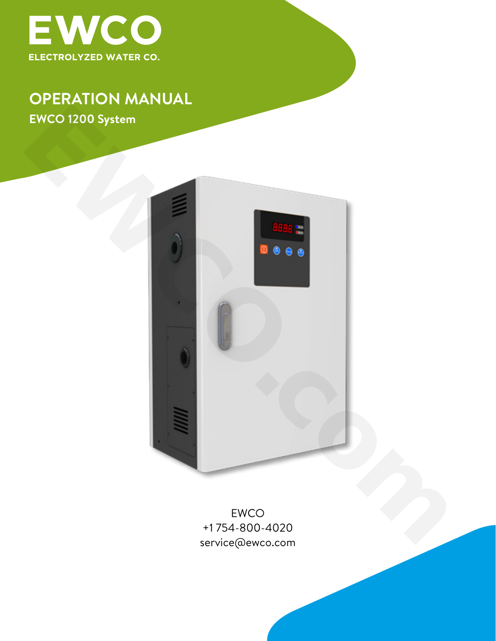

## **OPERATION MANUAL EWCO 1200 System**



EWCO +1 754-800-4020 service@ewco.com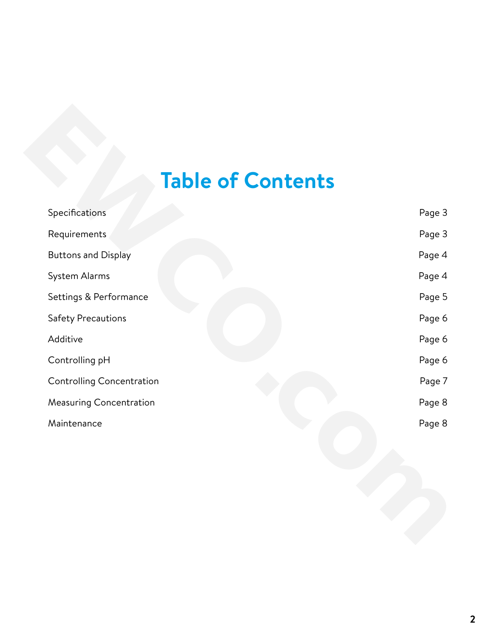# **Table of Contents**

| <b>Table of Contents</b>   |        |
|----------------------------|--------|
| Specifications             | Page 3 |
| Requirements               | Page 3 |
| <b>Buttons and Display</b> | Page 4 |
| System Alarms              | Page 4 |
| Settings & Performance     | Page 5 |
| <b>Safety Precautions</b>  | Page 6 |
| Additive                   | Page 6 |
| Controlling pH             | Page 6 |
| Controlling Concentration  | Page 7 |
| Measuring Concentration    | Page 8 |
| Maintenance                | Page 8 |
|                            |        |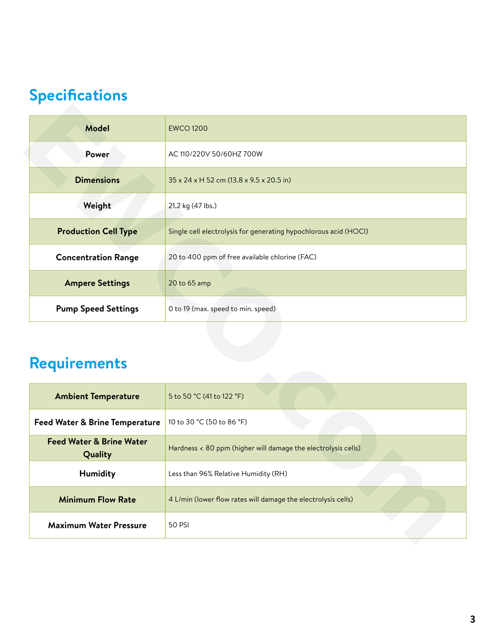# <span id="page-2-0"></span>**Specifications**

| <b>Model</b>                                   | <b>EWCO 1200</b>                                                 |  |
|------------------------------------------------|------------------------------------------------------------------|--|
| Power                                          | AC 110/220V 50/60HZ 700W                                         |  |
| <b>Dimensions</b>                              | 35 x 24 x H 52 cm (13.8 x 9.5 x 20.5 in)                         |  |
| Weight                                         | 21.2 kg (47 lbs.)                                                |  |
| <b>Production Cell Type</b>                    | Single cell electrolysis for generating hypochlorous acid (HOCI) |  |
| <b>Concentration Range</b>                     | 20 to 400 ppm of free available chlorine (FAC)                   |  |
| <b>Ampere Settings</b>                         | 20 to 65 amp                                                     |  |
| <b>Pump Speed Settings</b>                     | 0 to 19 (max. speed to min. speed)                               |  |
| <b>Requirements</b>                            |                                                                  |  |
| <b>Ambient Temperature</b>                     | 5 to 50 °C (41 to 122 °F)                                        |  |
| <b>Feed Water &amp; Brine Temperature</b>      | 10 to 30 °C (50 to 86 °F)                                        |  |
| <b>Feed Water &amp; Brine Water</b><br>Quality | Hardness < 80 ppm (higher will damage the electrolysis cells)    |  |
| Humidity                                       | Less than 96% Relative Humidity (RH)                             |  |
| <b>Minimum Flow Rate</b>                       | 4 L/min (lower flow rates will damage the electrolysis cells)    |  |
| Maximum Watar Droccuro                         | <b>SO DCI</b>                                                    |  |

## **Requirements**

| <b>Ambient Temperature</b>                     | 5 to 50 $^{\circ}$ C (41 to 122 $^{\circ}$ F)                   |  |
|------------------------------------------------|-----------------------------------------------------------------|--|
| <b>Feed Water &amp; Brine Temperature</b>      | 10 to 30 °C (50 to 86 °F)                                       |  |
| <b>Feed Water &amp; Brine Water</b><br>Quality | Hardness $<$ 80 ppm (higher will damage the electrolysis cells) |  |
| Humidity                                       | Less than 96% Relative Humidity (RH)                            |  |
| <b>Minimum Flow Rate</b>                       | 4 L/min (lower flow rates will damage the electrolysis cells)   |  |
| <b>Maximum Water Pressure</b>                  | 50 PSI                                                          |  |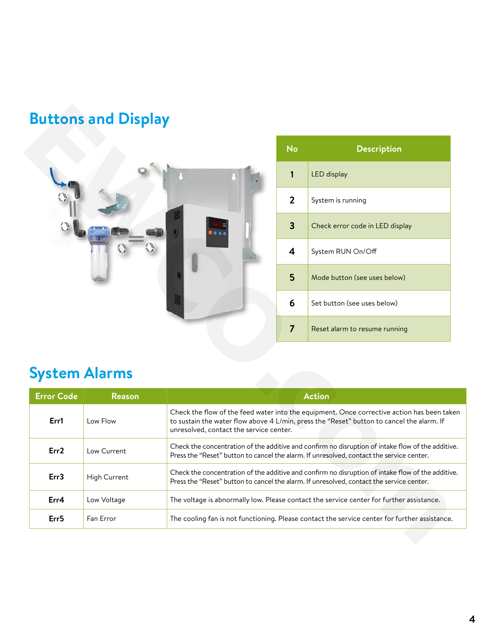# **Buttons and Display**



| No | <b>Description</b>              |
|----|---------------------------------|
| 1  | <b>LED</b> display              |
| 2  | System is running               |
| 3  | Check error code in LED display |
| 4  | System RUN On/Off               |
| 5  | Mode button (see uses below)    |
| 6  | Set button (see uses below)     |
| 7  | Reset alarm to resume running   |

# **System Alarms**

<span id="page-3-0"></span>

| <b>Buttons and Display</b> |               |                                                                                                                                                                                                                                    |                                                                                                                                                                                               |                                 |
|----------------------------|---------------|------------------------------------------------------------------------------------------------------------------------------------------------------------------------------------------------------------------------------------|-----------------------------------------------------------------------------------------------------------------------------------------------------------------------------------------------|---------------------------------|
|                            |               |                                                                                                                                                                                                                                    | <b>No</b>                                                                                                                                                                                     | <b>Description</b>              |
|                            |               |                                                                                                                                                                                                                                    | 1                                                                                                                                                                                             | LED display                     |
|                            |               |                                                                                                                                                                                                                                    | $\overline{2}$                                                                                                                                                                                | System is running               |
|                            |               |                                                                                                                                                                                                                                    | $\overline{\mathbf{3}}$                                                                                                                                                                       | Check error code in LED display |
|                            |               |                                                                                                                                                                                                                                    | $\overline{\mathbf{4}}$                                                                                                                                                                       | System RUN On/Off               |
|                            |               |                                                                                                                                                                                                                                    | 5                                                                                                                                                                                             | Mode button (see uses below)    |
|                            |               |                                                                                                                                                                                                                                    | 6                                                                                                                                                                                             | Set button (see uses below)     |
|                            |               |                                                                                                                                                                                                                                    | $\overline{7}$                                                                                                                                                                                | Reset alarm to resume running   |
| <b>System Alarms</b>       |               |                                                                                                                                                                                                                                    |                                                                                                                                                                                               |                                 |
| <b>Error Code</b>          | <b>Reason</b> |                                                                                                                                                                                                                                    |                                                                                                                                                                                               | <b>Action</b>                   |
| Err1                       | Low Flow      | Check the flow of the feed water into the equipment. Once corrective action has been taken<br>to sustain the water flow above 4 L/min, press the "Reset" button to cancel the alarm. If<br>unresolved, contact the service center. |                                                                                                                                                                                               |                                 |
| Err2                       | Low Current   | Check the concentration of the additive and confirm no disruption of intake flow of the additive.<br>Press the "Reset" button to cancel the alarm. If unresolved, contact the service center.                                      |                                                                                                                                                                                               |                                 |
| Err3                       | High Current  |                                                                                                                                                                                                                                    | Check the concentration of the additive and confirm no disruption of intake flow of the additive.<br>Press the "Reset" button to cancel the alarm. If unresolved, contact the service center. |                                 |
| Err4                       | Low Voltage   | The voltage is abnormally low. Please contact the service center for further assistance.                                                                                                                                           |                                                                                                                                                                                               |                                 |
| Err <sub>5</sub>           | Fan Error     | The cooling fan is not functioning. Please contact the service center for further assistance.                                                                                                                                      |                                                                                                                                                                                               |                                 |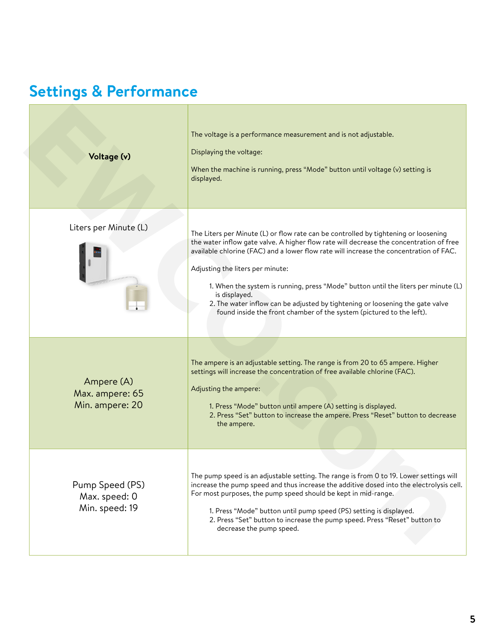# <span id="page-4-0"></span>**Settings & Performance**

| Voltage (v)                                        | The voltage is a performance measurement and is not adjustable.<br>Displaying the voltage:<br>When the machine is running, press "Mode" button until voltage (v) setting is<br>displayed.                                                                                                                                                                                                                                                                                                                                                                                    |
|----------------------------------------------------|------------------------------------------------------------------------------------------------------------------------------------------------------------------------------------------------------------------------------------------------------------------------------------------------------------------------------------------------------------------------------------------------------------------------------------------------------------------------------------------------------------------------------------------------------------------------------|
| Liters per Minute (L)                              | The Liters per Minute (L) or flow rate can be controlled by tightening or loosening<br>the water inflow gate valve. A higher flow rate will decrease the concentration of free<br>available chlorine (FAC) and a lower flow rate will increase the concentration of FAC.<br>Adjusting the liters per minute:<br>1. When the system is running, press "Mode" button until the liters per minute (L)<br>is displayed.<br>2. The water inflow can be adjusted by tightening or loosening the gate valve<br>found inside the front chamber of the system (pictured to the left). |
| Ampere (A)<br>Max. ampere: 65<br>Min. ampere: 20   | The ampere is an adjustable setting. The range is from 20 to 65 ampere. Higher<br>settings will increase the concentration of free available chlorine (FAC).<br>Adjusting the ampere:<br>1. Press "Mode" button until ampere (A) setting is displayed.<br>2. Press "Set" button to increase the ampere. Press "Reset" button to decrease<br>the ampere.                                                                                                                                                                                                                      |
| Pump Speed (PS)<br>Max. speed: 0<br>Min. speed: 19 | The pump speed is an adjustable setting. The range is from 0 to 19. Lower settings will<br>increase the pump speed and thus increase the additive dosed into the electrolysis cell.<br>For most purposes, the pump speed should be kept in mid-range.<br>1. Press "Mode" button until pump speed (PS) setting is displayed.<br>2. Press "Set" button to increase the pump speed. Press "Reset" button to<br>decrease the pump speed.                                                                                                                                         |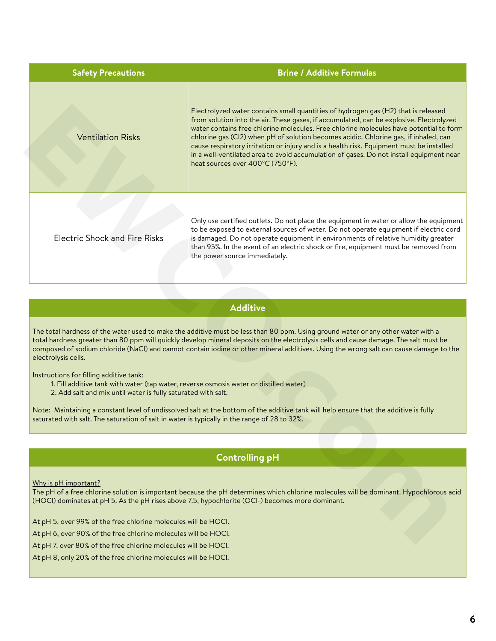<span id="page-5-0"></span>

| <b>Safety Precautions</b>                                                                                                                                                                                                                                                                                                                                                                                                                 | <b>Brine / Additive Formulas</b>                                                                                                                                                                                                                                                                                                                                                                                                                                                                                                                                                           |  |
|-------------------------------------------------------------------------------------------------------------------------------------------------------------------------------------------------------------------------------------------------------------------------------------------------------------------------------------------------------------------------------------------------------------------------------------------|--------------------------------------------------------------------------------------------------------------------------------------------------------------------------------------------------------------------------------------------------------------------------------------------------------------------------------------------------------------------------------------------------------------------------------------------------------------------------------------------------------------------------------------------------------------------------------------------|--|
| <b>Ventilation Risks</b>                                                                                                                                                                                                                                                                                                                                                                                                                  | Electrolyzed water contains small quantities of hydrogen gas (H2) that is released<br>from solution into the air. These gases, if accumulated, can be explosive. Electrolyzed<br>water contains free chlorine molecules. Free chlorine molecules have potential to form<br>chlorine gas (Cl2) when pH of solution becomes acidic. Chlorine gas, if inhaled, can<br>cause respiratory irritation or injury and is a health risk. Equipment must be installed<br>in a well-ventilated area to avoid accumulation of gases. Do not install equipment near<br>heat sources over 400°C (750°F). |  |
| <b>Electric Shock and Fire Risks</b>                                                                                                                                                                                                                                                                                                                                                                                                      | Only use certified outlets. Do not place the equipment in water or allow the equipment<br>to be exposed to external sources of water. Do not operate equipment if electric cord<br>is damaged. Do not operate equipment in environments of relative humidity greater<br>than 95%. In the event of an electric shock or fire, equipment must be removed from<br>the power source immediately.                                                                                                                                                                                               |  |
|                                                                                                                                                                                                                                                                                                                                                                                                                                           |                                                                                                                                                                                                                                                                                                                                                                                                                                                                                                                                                                                            |  |
|                                                                                                                                                                                                                                                                                                                                                                                                                                           | <b>Additive</b>                                                                                                                                                                                                                                                                                                                                                                                                                                                                                                                                                                            |  |
| The total hardness of the water used to make the additive must be less than 80 ppm. Using ground water or any other water with a<br>total hardness greater than 80 ppm will quickly develop mineral deposits on the electrolysis cells and cause damage. The salt must be<br>composed of sodium chloride (NaCl) and cannot contain iodine or other mineral additives. Using the wrong salt can cause damage to the<br>electrolysis cells. |                                                                                                                                                                                                                                                                                                                                                                                                                                                                                                                                                                                            |  |
| Instructions for filling additive tank:<br>1. Fill additive tank with water (tap water, reverse osmosis water or distilled water)<br>2. Add salt and mix until water is fully saturated with salt.                                                                                                                                                                                                                                        |                                                                                                                                                                                                                                                                                                                                                                                                                                                                                                                                                                                            |  |
| Note: Maintaining a constant level of undissolved salt at the bottom of the additive tank will help ensure that the additive is fully<br>saturated with salt. The saturation of salt in water is typically in the range of 28 to 32%.                                                                                                                                                                                                     |                                                                                                                                                                                                                                                                                                                                                                                                                                                                                                                                                                                            |  |
|                                                                                                                                                                                                                                                                                                                                                                                                                                           |                                                                                                                                                                                                                                                                                                                                                                                                                                                                                                                                                                                            |  |
|                                                                                                                                                                                                                                                                                                                                                                                                                                           | <b>Controlling pH</b>                                                                                                                                                                                                                                                                                                                                                                                                                                                                                                                                                                      |  |
| Why is pH important?                                                                                                                                                                                                                                                                                                                                                                                                                      | The pH of a free chlorine solution is important because the pH determines which chlorine molecules will be dominant. Hypochlorous acid<br>(HOCl) dominates at pH 5. As the pH rises above 7.5, hypochlorite (OCl-) becomes more dominant.                                                                                                                                                                                                                                                                                                                                                  |  |
| At pH 5, over 99% of the free chlorine molecules will be HOCI.                                                                                                                                                                                                                                                                                                                                                                            |                                                                                                                                                                                                                                                                                                                                                                                                                                                                                                                                                                                            |  |

## **Additive**

- 1. Fill additive tank with water (tap water, reverse osmosis water or distilled water)
- 2. Add salt and mix until water is fully saturated with salt.

### **Controlling pH**

#### Why is pH important?

At pH 6, over 90% of the free chlorine molecules will be HOCl.

At pH 7, over 80% of the free chlorine molecules will be HOCl.

At pH 8, only 20% of the free chlorine molecules will be HOCl.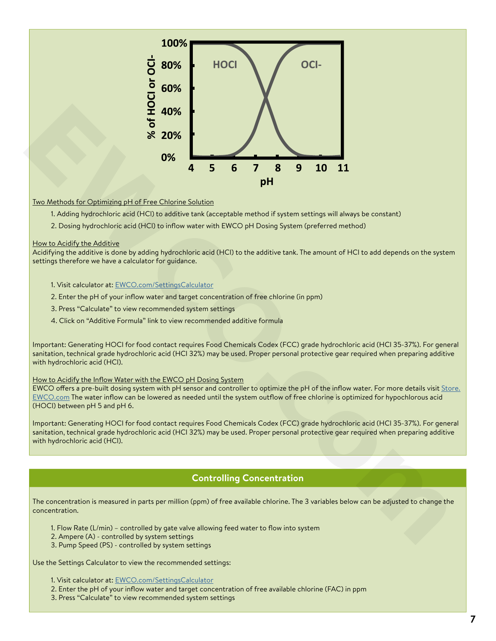<span id="page-6-0"></span>

#### Two Methods for Optimizing pH of Free Chlorine Solution

- 1. Adding hydrochloric acid (HCl) to additive tank (acceptable method if system settings will always be constant)
- 2. Dosing hydrochloric acid (HCl) to inflow water with EWCO pH Dosing System (preferred method)

#### How to Acidify the Additive

Acidifying the additive is done by adding hydrochloric acid (HCl) to the additive tank. The amount of HCl to add depends on the system settings therefore we have a calculator for guidance.

- 1. Visit calculator at: EWCO.com/SettingsCalculator
- 2. Enter the pH of your inflow water and target concentration of free chlorine (in ppm)
- 3. Press "Calculate" to view recommended system settings
- 4. Click on "Additive Formula" link to view recommended additive formula

Important: Generating HOCl for food contact requires Food Chemicals Codex (FCC) grade hydrochloric acid (HCl 35-37%). For general sanitation, technical grade hydrochloric acid (HCl 32%) may be used. Proper personal protective gear required when preparing additive with hydrochloric acid (HCl).

#### How to Acidify the Inflow Water with the EWCO pH Dosing System

EWCO offers a pre-built dosing system with pH sensor and controller to optimize the pH of the inflow water. For more details visit [Store.](http://Store.EcoloxTech.com ) EWCO.com The water inflow can be lowered as needed until the system outflow of free chlorine is optimized for hypochlorous acid (HOCl) between pH 5 and pH 6.

Important: Generating HOCl for food contact requires Food Chemicals Codex (FCC) grade hydrochloric acid (HCl 35-37%). For general sanitation, technical grade hydrochloric acid (HCl 32%) may be used. Proper personal protective gear required when preparing additive with hydrochloric acid (HCl).

## **Controlling Concentration**

The concentration is measured in parts per million (ppm) of free available chlorine. The 3 variables below can be adjusted to change the concentration.

- 1. Flow Rate (L/min) controlled by gate valve allowing feed water to flow into system
- 2. Ampere (A) controlled by system settings
- 3. Pump Speed (PS) controlled by system settings

Use the Settings Calculator to view the recommended settings:

- 1. Visit calculator at: [EWCO.com/SettingsCalculator](http://EcoloxTech.com/SettingsCalculator)
- 2. Enter the pH of your inflow water and target concentration of free available chlorine (FAC) in ppm
- 3. Press "Calculate" to view recommended system settings